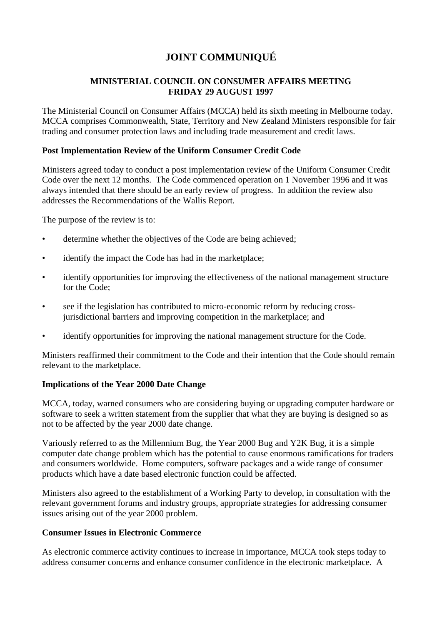# **JOINT COMMUNIQUÉ**

## **MINISTERIAL COUNCIL ON CONSUMER AFFAIRS MEETING FRIDAY 29 AUGUST 1997**

The Ministerial Council on Consumer Affairs (MCCA) held its sixth meeting in Melbourne today. MCCA comprises Commonwealth, State, Territory and New Zealand Ministers responsible for fair trading and consumer protection laws and including trade measurement and credit laws.

#### **Post Implementation Review of the Uniform Consumer Credit Code**

Ministers agreed today to conduct a post implementation review of the Uniform Consumer Credit Code over the next 12 months. The Code commenced operation on 1 November 1996 and it was always intended that there should be an early review of progress. In addition the review also addresses the Recommendations of the Wallis Report.

The purpose of the review is to:

- determine whether the objectives of the Code are being achieved;
- identify the impact the Code has had in the marketplace;
- identify opportunities for improving the effectiveness of the national management structure for the Code;
- see if the legislation has contributed to micro-economic reform by reducing crossjurisdictional barriers and improving competition in the marketplace; and
- identify opportunities for improving the national management structure for the Code.

Ministers reaffirmed their commitment to the Code and their intention that the Code should remain relevant to the marketplace.

#### **Implications of the Year 2000 Date Change**

MCCA, today, warned consumers who are considering buying or upgrading computer hardware or software to seek a written statement from the supplier that what they are buying is designed so as not to be affected by the year 2000 date change.

Variously referred to as the Millennium Bug, the Year 2000 Bug and Y2K Bug, it is a simple computer date change problem which has the potential to cause enormous ramifications for traders and consumers worldwide. Home computers, software packages and a wide range of consumer products which have a date based electronic function could be affected.

Ministers also agreed to the establishment of a Working Party to develop, in consultation with the relevant government forums and industry groups, appropriate strategies for addressing consumer issues arising out of the year 2000 problem.

#### **Consumer Issues in Electronic Commerce**

As electronic commerce activity continues to increase in importance, MCCA took steps today to address consumer concerns and enhance consumer confidence in the electronic marketplace. A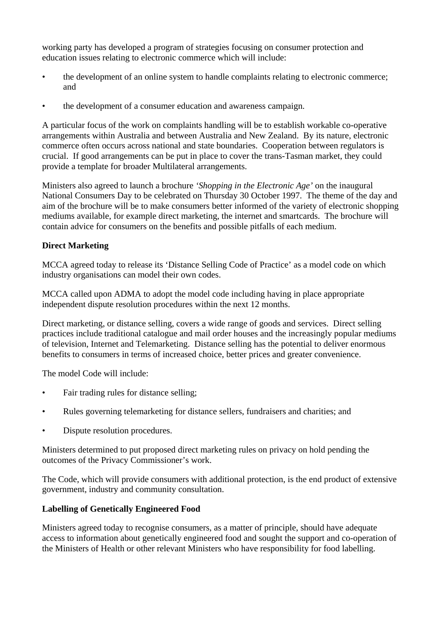working party has developed a program of strategies focusing on consumer protection and education issues relating to electronic commerce which will include:

- the development of an online system to handle complaints relating to electronic commerce; and
- the development of a consumer education and awareness campaign.

A particular focus of the work on complaints handling will be to establish workable co-operative arrangements within Australia and between Australia and New Zealand. By its nature, electronic commerce often occurs across national and state boundaries. Cooperation between regulators is crucial. If good arrangements can be put in place to cover the trans-Tasman market, they could provide a template for broader Multilateral arrangements.

Ministers also agreed to launch a brochure *'Shopping in the Electronic Age'* on the inaugural National Consumers Day to be celebrated on Thursday 30 October 1997. The theme of the day and aim of the brochure will be to make consumers better informed of the variety of electronic shopping mediums available, for example direct marketing, the internet and smartcards. The brochure will contain advice for consumers on the benefits and possible pitfalls of each medium.

# **Direct Marketing**

MCCA agreed today to release its 'Distance Selling Code of Practice' as a model code on which industry organisations can model their own codes.

MCCA called upon ADMA to adopt the model code including having in place appropriate independent dispute resolution procedures within the next 12 months.

Direct marketing, or distance selling, covers a wide range of goods and services. Direct selling practices include traditional catalogue and mail order houses and the increasingly popular mediums of television, Internet and Telemarketing. Distance selling has the potential to deliver enormous benefits to consumers in terms of increased choice, better prices and greater convenience.

The model Code will include:

- Fair trading rules for distance selling;
- Rules governing telemarketing for distance sellers, fundraisers and charities; and
- Dispute resolution procedures.

Ministers determined to put proposed direct marketing rules on privacy on hold pending the outcomes of the Privacy Commissioner's work.

The Code, which will provide consumers with additional protection, is the end product of extensive government, industry and community consultation.

## **Labelling of Genetically Engineered Food**

Ministers agreed today to recognise consumers, as a matter of principle, should have adequate access to information about genetically engineered food and sought the support and co-operation of the Ministers of Health or other relevant Ministers who have responsibility for food labelling.